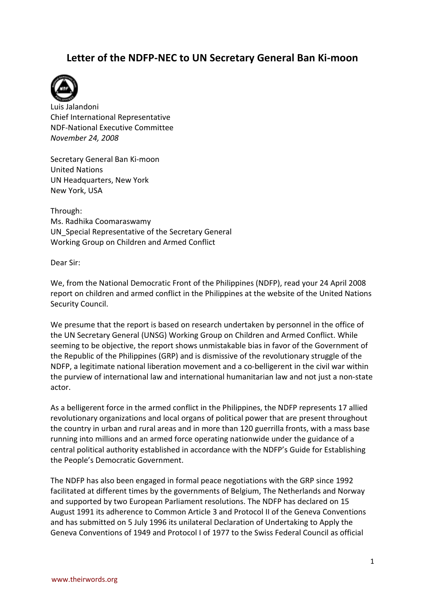## **Letter of the NDFP-NEC to UN Secretary General Ban Ki-moon**



Luis Jalandoni Chief International Representative NDF-National Executive Committee *November 24, 2008*

Secretary General Ban Ki-moon United Nations UN Headquarters, New York New York, USA

Through: Ms. Radhika Coomaraswamy UN\_Special Representative of the Secretary General Working Group on Children and Armed Conflict

Dear Sir:

We, from the National Democratic Front of the Philippines (NDFP), read your 24 April 2008 report on children and armed conflict in the Philippines at the website of the United Nations Security Council.

We presume that the report is based on research undertaken by personnel in the office of the UN Secretary General (UNSG) Working Group on Children and Armed Conflict. While seeming to be objective, the report shows unmistakable bias in favor of the Government of the Republic of the Philippines (GRP) and is dismissive of the revolutionary struggle of the NDFP, a legitimate national liberation movement and a co-belligerent in the civil war within the purview of international law and international humanitarian law and not just a non-state actor.

As a belligerent force in the armed conflict in the Philippines, the NDFP represents 17 allied revolutionary organizations and local organs of political power that are present throughout the country in urban and rural areas and in more than 120 guerrilla fronts, with a mass base running into millions and an armed force operating nationwide under the guidance of a central political authority established in accordance with the NDFP's Guide for Establishing the People's Democratic Government.

The NDFP has also been engaged in formal peace negotiations with the GRP since 1992 facilitated at different times by the governments of Belgium, The Netherlands and Norway and supported by two European Parliament resolutions. The NDFP has declared on 15 August 1991 its adherence to Common Article 3 and Protocol II of the Geneva Conventions and has submitted on 5 July 1996 its unilateral Declaration of Undertaking to Apply the Geneva Conventions of 1949 and Protocol I of 1977 to the Swiss Federal Council as official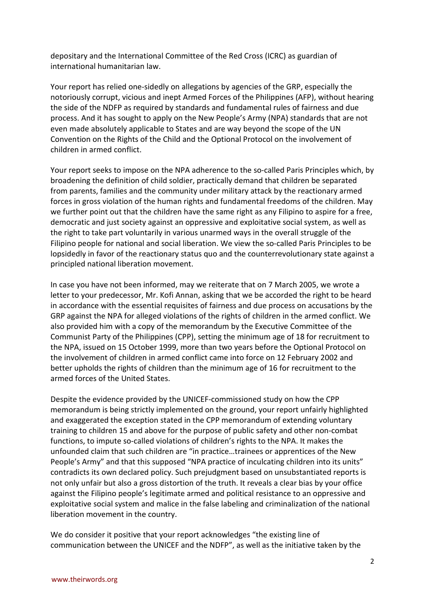depositary and the International Committee of the Red Cross (ICRC) as guardian of international humanitarian law.

Your report has relied one-sidedly on allegations by agencies of the GRP, especially the notoriously corrupt, vicious and inept Armed Forces of the Philippines (AFP), without hearing the side of the NDFP as required by standards and fundamental rules of fairness and due process. And it has sought to apply on the New People's Army (NPA) standards that are not even made absolutely applicable to States and are way beyond the scope of the UN Convention on the Rights of the Child and the Optional Protocol on the involvement of children in armed conflict.

Your report seeks to impose on the NPA adherence to the so-called Paris Principles which, by broadening the definition of child soldier, practically demand that children be separated from parents, families and the community under military attack by the reactionary armed forces in gross violation of the human rights and fundamental freedoms of the children. May we further point out that the children have the same right as any Filipino to aspire for a free, democratic and just society against an oppressive and exploitative social system, as well as the right to take part voluntarily in various unarmed ways in the overall struggle of the Filipino people for national and social liberation. We view the so-called Paris Principles to be lopsidedly in favor of the reactionary status quo and the counterrevolutionary state against a principled national liberation movement.

In case you have not been informed, may we reiterate that on 7 March 2005, we wrote a letter to your predecessor, Mr. Kofi Annan, asking that we be accorded the right to be heard in accordance with the essential requisites of fairness and due process on accusations by the GRP against the NPA for alleged violations of the rights of children in the armed conflict. We also provided him with a copy of the memorandum by the Executive Committee of the Communist Party of the Philippines (CPP), setting the minimum age of 18 for recruitment to the NPA, issued on 15 October 1999, more than two years before the Optional Protocol on the involvement of children in armed conflict came into force on 12 February 2002 and better upholds the rights of children than the minimum age of 16 for recruitment to the armed forces of the United States.

Despite the evidence provided by the UNICEF-commissioned study on how the CPP memorandum is being strictly implemented on the ground, your report unfairly highlighted and exaggerated the exception stated in the CPP memorandum of extending voluntary training to children 15 and above for the purpose of public safety and other non-combat functions, to impute so-called violations of children's rights to the NPA. It makes the unfounded claim that such children are "in practice…trainees or apprentices of the New People's Army" and that this supposed "NPA practice of inculcating children into its units" contradicts its own declared policy. Such prejudgment based on unsubstantiated reports is not only unfair but also a gross distortion of the truth. It reveals a clear bias by your office against the Filipino people's legitimate armed and political resistance to an oppressive and exploitative social system and malice in the false labeling and criminalization of the national liberation movement in the country.

We do consider it positive that your report acknowledges "the existing line of communication between the UNICEF and the NDFP", as well as the initiative taken by the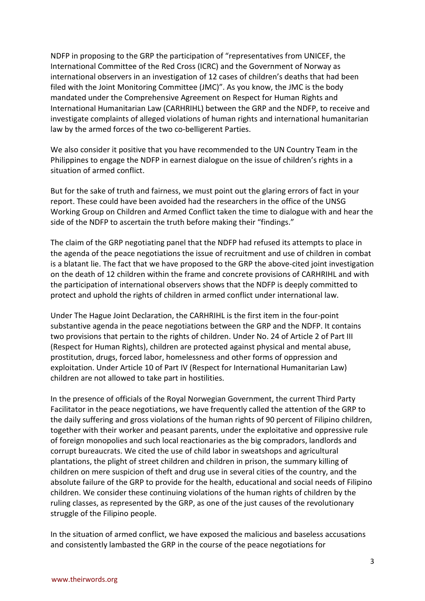NDFP in proposing to the GRP the participation of "representatives from UNICEF, the International Committee of the Red Cross (ICRC) and the Government of Norway as international observers in an investigation of 12 cases of children's deaths that had been filed with the Joint Monitoring Committee (JMC)". As you know, the JMC is the body mandated under the Comprehensive Agreement on Respect for Human Rights and International Humanitarian Law (CARHRIHL) between the GRP and the NDFP, to receive and investigate complaints of alleged violations of human rights and international humanitarian law by the armed forces of the two co-belligerent Parties.

We also consider it positive that you have recommended to the UN Country Team in the Philippines to engage the NDFP in earnest dialogue on the issue of children's rights in a situation of armed conflict.

But for the sake of truth and fairness, we must point out the glaring errors of fact in your report. These could have been avoided had the researchers in the office of the UNSG Working Group on Children and Armed Conflict taken the time to dialogue with and hear the side of the NDFP to ascertain the truth before making their "findings."

The claim of the GRP negotiating panel that the NDFP had refused its attempts to place in the agenda of the peace negotiations the issue of recruitment and use of children in combat is a blatant lie. The fact that we have proposed to the GRP the above-cited joint investigation on the death of 12 children within the frame and concrete provisions of CARHRIHL and with the participation of international observers shows that the NDFP is deeply committed to protect and uphold the rights of children in armed conflict under international law.

Under The Hague Joint Declaration, the CARHRIHL is the first item in the four-point substantive agenda in the peace negotiations between the GRP and the NDFP. It contains two provisions that pertain to the rights of children. Under No. 24 of Article 2 of Part III (Respect for Human Rights), children are protected against physical and mental abuse, prostitution, drugs, forced labor, homelessness and other forms of oppression and exploitation. Under Article 10 of Part IV (Respect for International Humanitarian Law) children are not allowed to take part in hostilities.

In the presence of officials of the Royal Norwegian Government, the current Third Party Facilitator in the peace negotiations, we have frequently called the attention of the GRP to the daily suffering and gross violations of the human rights of 90 percent of Filipino children, together with their worker and peasant parents, under the exploitative and oppressive rule of foreign monopolies and such local reactionaries as the big compradors, landlords and corrupt bureaucrats. We cited the use of child labor in sweatshops and agricultural plantations, the plight of street children and children in prison, the summary killing of children on mere suspicion of theft and drug use in several cities of the country, and the absolute failure of the GRP to provide for the health, educational and social needs of Filipino children. We consider these continuing violations of the human rights of children by the ruling classes, as represented by the GRP, as one of the just causes of the revolutionary struggle of the Filipino people.

In the situation of armed conflict, we have exposed the malicious and baseless accusations and consistently lambasted the GRP in the course of the peace negotiations for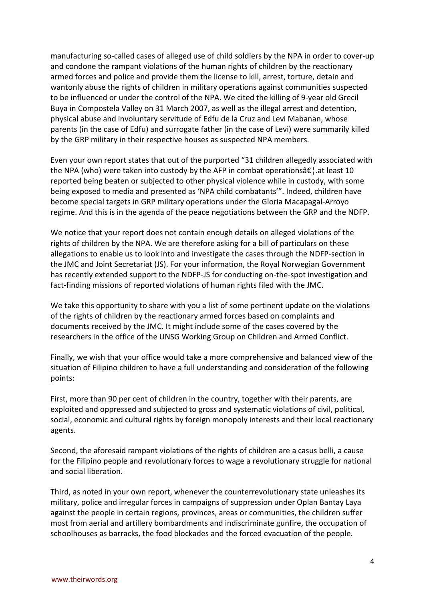manufacturing so-called cases of alleged use of child soldiers by the NPA in order to cover-up and condone the rampant violations of the human rights of children by the reactionary armed forces and police and provide them the license to kill, arrest, torture, detain and wantonly abuse the rights of children in military operations against communities suspected to be influenced or under the control of the NPA. We cited the killing of 9-year old Grecil Buya in Compostela Valley on 31 March 2007, as well as the illegal arrest and detention, physical abuse and involuntary servitude of Edfu de la Cruz and Levi Mabanan, whose parents (in the case of Edfu) and surrogate father (in the case of Levi) were summarily killed by the GRP military in their respective houses as suspected NPA members.

Even your own report states that out of the purported "31 children allegedly associated with the NPA (who) were taken into custody by the AFP in combat operations….at least 10 reported being beaten or subjected to other physical violence while in custody, with some being exposed to media and presented as 'NPA child combatants'". Indeed, children have become special targets in GRP military operations under the Gloria Macapagal-Arroyo regime. And this is in the agenda of the peace negotiations between the GRP and the NDFP.

We notice that your report does not contain enough details on alleged violations of the rights of children by the NPA. We are therefore asking for a bill of particulars on these allegations to enable us to look into and investigate the cases through the NDFP-section in the JMC and Joint Secretariat (JS). For your information, the Royal Norwegian Government has recently extended support to the NDFP-JS for conducting on-the-spot investigation and fact-finding missions of reported violations of human rights filed with the JMC.

We take this opportunity to share with you a list of some pertinent update on the violations of the rights of children by the reactionary armed forces based on complaints and documents received by the JMC. It might include some of the cases covered by the researchers in the office of the UNSG Working Group on Children and Armed Conflict.

Finally, we wish that your office would take a more comprehensive and balanced view of the situation of Filipino children to have a full understanding and consideration of the following points:

First, more than 90 per cent of children in the country, together with their parents, are exploited and oppressed and subjected to gross and systematic violations of civil, political, social, economic and cultural rights by foreign monopoly interests and their local reactionary agents.

Second, the aforesaid rampant violations of the rights of children are a casus belli, a cause for the Filipino people and revolutionary forces to wage a revolutionary struggle for national and social liberation.

Third, as noted in your own report, whenever the counterrevolutionary state unleashes its military, police and irregular forces in campaigns of suppression under Oplan Bantay Laya against the people in certain regions, provinces, areas or communities, the children suffer most from aerial and artillery bombardments and indiscriminate gunfire, the occupation of schoolhouses as barracks, the food blockades and the forced evacuation of the people.